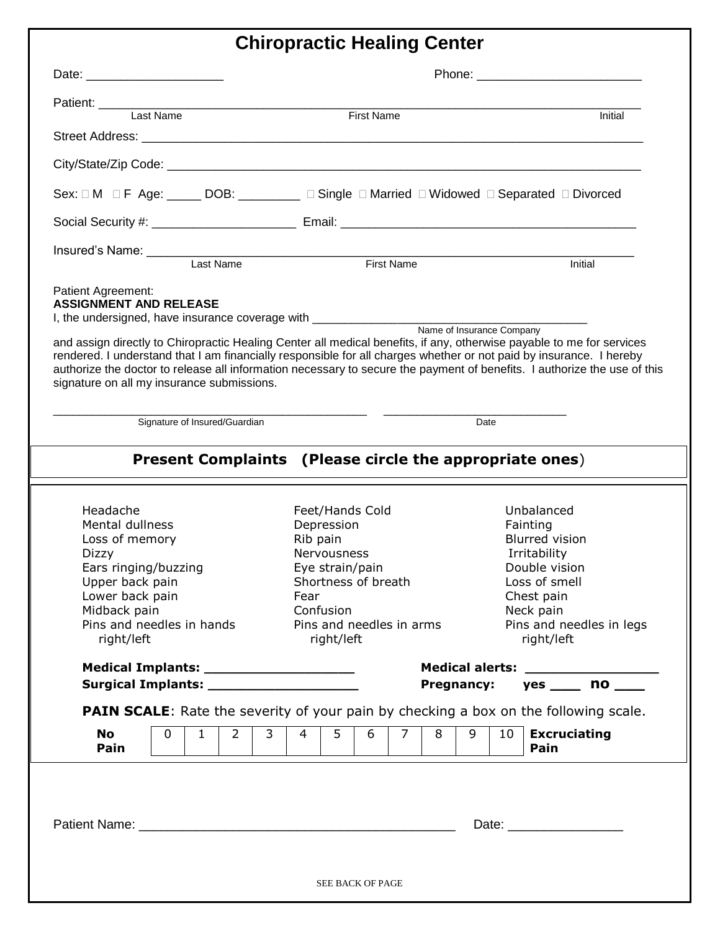## **Chiropractic Healing Center**

|                                                                             |                                            | Patient:<br>Last Name<br>First Name<br>First Name                                                                                                                                                                                            | Initial                                                                                                                  |  |
|-----------------------------------------------------------------------------|--------------------------------------------|----------------------------------------------------------------------------------------------------------------------------------------------------------------------------------------------------------------------------------------------|--------------------------------------------------------------------------------------------------------------------------|--|
|                                                                             |                                            |                                                                                                                                                                                                                                              |                                                                                                                          |  |
|                                                                             |                                            |                                                                                                                                                                                                                                              |                                                                                                                          |  |
|                                                                             |                                            | Sex: $\Box$ M $\Box$ F Age: _____ DOB: ________ $\Box$ Single $\Box$ Married $\Box$ Widowed $\Box$ Separated $\Box$ Divorced                                                                                                                 |                                                                                                                          |  |
|                                                                             |                                            |                                                                                                                                                                                                                                              |                                                                                                                          |  |
| Insured's Name:<br>Last Name                                                |                                            |                                                                                                                                                                                                                                              |                                                                                                                          |  |
|                                                                             |                                            | First Name                                                                                                                                                                                                                                   | Initial                                                                                                                  |  |
| <b>ASSIGNMENT AND RELEASE</b><br>signature on all my insurance submissions. |                                            | and assign directly to Chiropractic Healing Center all medical benefits, if any, otherwise payable to me for services<br>rendered. I understand that I am financially responsible for all charges whether or not paid by insurance. I hereby | authorize the doctor to release all information necessary to secure the payment of benefits. I authorize the use of this |  |
|                                                                             | Signature of Insured/Guardian              |                                                                                                                                                                                                                                              | Date                                                                                                                     |  |
|                                                                             |                                            | Present Complaints (Please circle the appropriate ones)                                                                                                                                                                                      |                                                                                                                          |  |
|                                                                             |                                            |                                                                                                                                                                                                                                              |                                                                                                                          |  |
|                                                                             |                                            |                                                                                                                                                                                                                                              |                                                                                                                          |  |
|                                                                             |                                            |                                                                                                                                                                                                                                              |                                                                                                                          |  |
| Headache                                                                    |                                            | Feet/Hands Cold                                                                                                                                                                                                                              | Unbalanced                                                                                                               |  |
| Mental dullness                                                             |                                            | Depression                                                                                                                                                                                                                                   | Fainting                                                                                                                 |  |
| Loss of memory                                                              |                                            | Rib pain                                                                                                                                                                                                                                     | <b>Blurred vision</b>                                                                                                    |  |
| Dizzy                                                                       |                                            | <b>Nervousness</b>                                                                                                                                                                                                                           | Irritability                                                                                                             |  |
| Ears ringing/buzzing                                                        |                                            | Eye strain/pain                                                                                                                                                                                                                              | Double vision                                                                                                            |  |
| Upper back pain                                                             |                                            | Shortness of breath                                                                                                                                                                                                                          | Loss of smell                                                                                                            |  |
| Lower back pain                                                             |                                            | Fear                                                                                                                                                                                                                                         | Chest pain                                                                                                               |  |
| Midback pain                                                                |                                            | Confusion                                                                                                                                                                                                                                    | Neck pain                                                                                                                |  |
| Pins and needles in hands<br>right/left                                     |                                            | Pins and needles in arms<br>right/left                                                                                                                                                                                                       | Pins and needles in legs<br>right/left                                                                                   |  |
|                                                                             | Medical Implants: ________________________ |                                                                                                                                                                                                                                              |                                                                                                                          |  |
|                                                                             | Surgical Implants: _____________________   | <b>Pregnancy:</b>                                                                                                                                                                                                                            | $yes \_\_ no \_\_$                                                                                                       |  |
|                                                                             |                                            | <b>PAIN SCALE:</b> Rate the severity of your pain by checking a box on the following scale.                                                                                                                                                  |                                                                                                                          |  |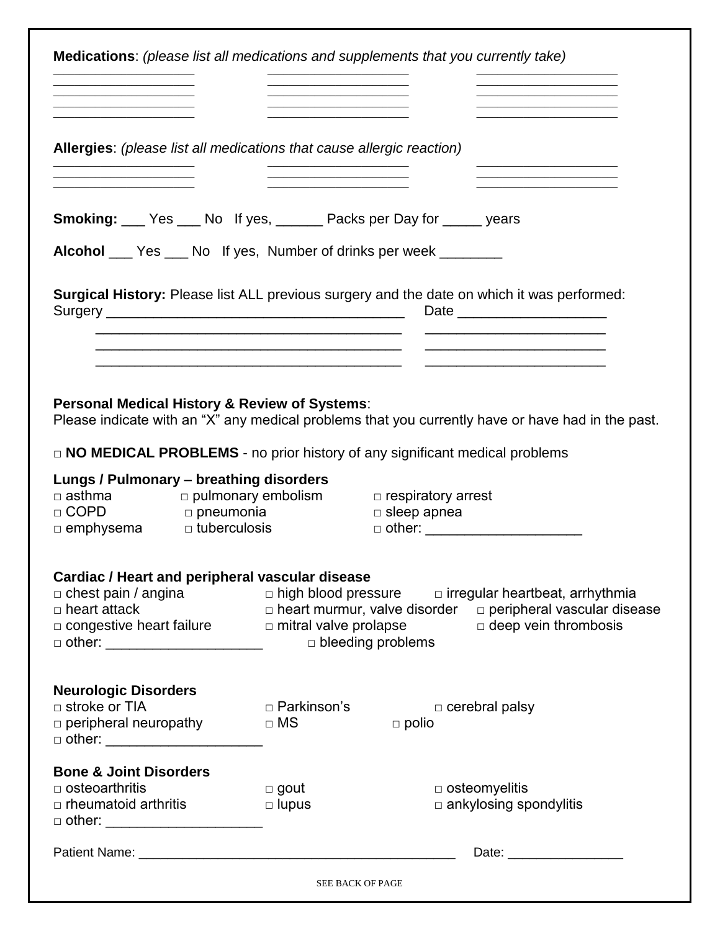| <b>Medications:</b> (please list all medications and supplements that you currently take)                                                                                                        |                                                             |                          |                                                                                                                                             |
|--------------------------------------------------------------------------------------------------------------------------------------------------------------------------------------------------|-------------------------------------------------------------|--------------------------|---------------------------------------------------------------------------------------------------------------------------------------------|
|                                                                                                                                                                                                  |                                                             |                          |                                                                                                                                             |
|                                                                                                                                                                                                  |                                                             |                          |                                                                                                                                             |
|                                                                                                                                                                                                  |                                                             |                          |                                                                                                                                             |
| Allergies: (please list all medications that cause allergic reaction)                                                                                                                            |                                                             |                          |                                                                                                                                             |
| <b>Smoking:</b> ___ Yes ___ No If yes, ______ Packs per Day for _____ years<br><b>Alcohol</b> ___ Yes ___ No If yes, Number of drinks per week _______                                           |                                                             |                          |                                                                                                                                             |
|                                                                                                                                                                                                  |                                                             |                          |                                                                                                                                             |
| Surgical History: Please list ALL previous surgery and the date on which it was performed:                                                                                                       | <u> 1989 - Johann Stoff, amerikansk politiker (d. 1989)</u> |                          | Date ________________________                                                                                                               |
|                                                                                                                                                                                                  |                                                             |                          |                                                                                                                                             |
|                                                                                                                                                                                                  |                                                             |                          |                                                                                                                                             |
| Personal Medical History & Review of Systems:<br>Please indicate with an "X" any medical problems that you currently have or have had in the past.                                               |                                                             |                          |                                                                                                                                             |
| $\Box$ NO MEDICAL PROBLEMS - no prior history of any significant medical problems                                                                                                                |                                                             |                          |                                                                                                                                             |
| Lungs / Pulmonary - breathing disorders<br>$\Box$ asthma $\Box$ pulmonary embolism $\Box$ respiratory arrest<br>$\Box$ COPD<br>□ pneumonia<br>$\Box$ emphysema<br>$\Box$ tuberculosis            |                                                             | $\square$ sleep apnea    | □ other: _________________________                                                                                                          |
| Cardiac / Heart and peripheral vascular disease<br>$\Box$ chest pain / angina<br>$\Box$ heart attack<br>$\Box$ congestive heart failure $\Box$ mitral valve prolapse $\Box$ deep vein thrombosis |                                                             |                          | $\Box$ high blood pressure $\Box$ irregular heartbeat, arrhythmia<br>$\Box$ heart murmur, valve disorder $\Box$ peripheral vascular disease |
|                                                                                                                                                                                                  |                                                             | $\Box$ bleeding problems |                                                                                                                                             |
|                                                                                                                                                                                                  |                                                             |                          |                                                                                                                                             |
| <b>Neurologic Disorders</b><br>$\Box$ stroke or TIA<br>$\Box$ peripheral neuropathy<br>□ other: _________________________                                                                        | □ Parkinson's<br>$\Box$ MS                                  | $\Box$ polio             | $\Box$ cerebral palsy                                                                                                                       |
|                                                                                                                                                                                                  |                                                             |                          |                                                                                                                                             |
| <b>Bone &amp; Joint Disorders</b>                                                                                                                                                                |                                                             |                          |                                                                                                                                             |
| $\Box$ osteoarthritis<br>$\Box$ rheumatoid arthritis                                                                                                                                             | $\Box$ gout<br>$\Box$ lupus                                 |                          | $\Box$ osteomyelitis<br>ankylosing spondylitis                                                                                              |
| □ other: _______________________                                                                                                                                                                 |                                                             |                          |                                                                                                                                             |
|                                                                                                                                                                                                  |                                                             |                          |                                                                                                                                             |
|                                                                                                                                                                                                  | <b>SEE BACK OF PAGE</b>                                     |                          |                                                                                                                                             |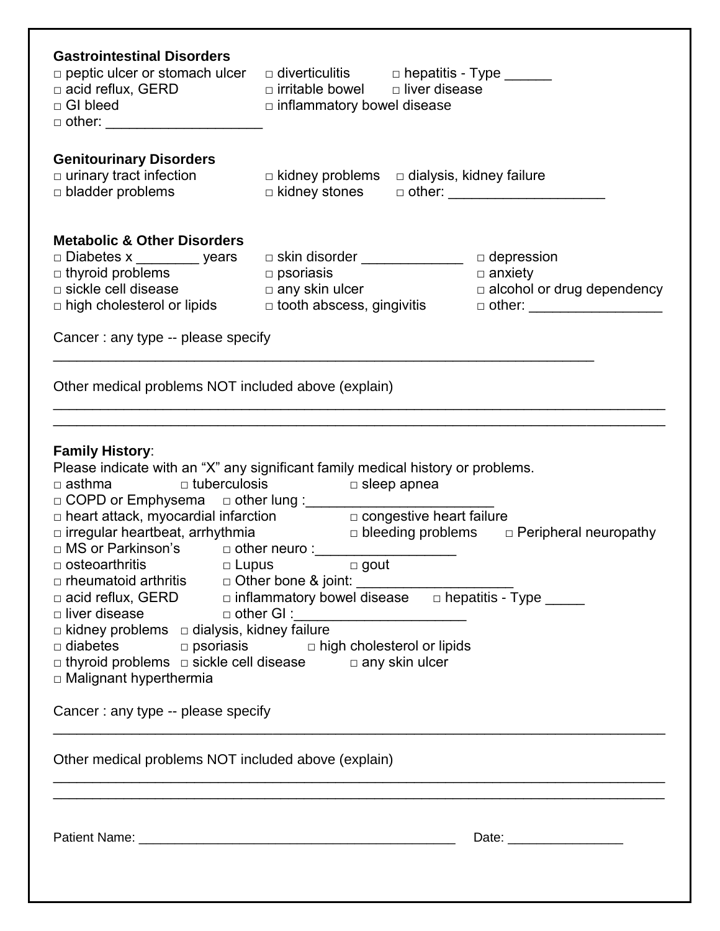| <b>Gastrointestinal Disorders</b><br>$\Box$ peptic ulcer or stomach ulcer<br>□ acid reflux, GERD<br>□ GI bleed<br>$\Box$ GI bleed<br>$\Box$ other: ________________________                                                                                                                                                                                                                                                                                                                                                                                                                                                                                                                                        | $\Box$ diverticulitis $\Box$ hepatitis - Type _______<br>$\Box$ irritable bowel $\Box$ liver disease<br>$\Box$ inflammatory bowel disease                                                                                                                                                                                           |                   |  |
|--------------------------------------------------------------------------------------------------------------------------------------------------------------------------------------------------------------------------------------------------------------------------------------------------------------------------------------------------------------------------------------------------------------------------------------------------------------------------------------------------------------------------------------------------------------------------------------------------------------------------------------------------------------------------------------------------------------------|-------------------------------------------------------------------------------------------------------------------------------------------------------------------------------------------------------------------------------------------------------------------------------------------------------------------------------------|-------------------|--|
| <b>Genitourinary Disorders</b><br>$\Box$ urinary tract infection<br>$\Box$ bladder problems                                                                                                                                                                                                                                                                                                                                                                                                                                                                                                                                                                                                                        | $\Box$ kidney problems $\Box$ dialysis, kidney failure<br>□ kidney stones □ other: _______________________                                                                                                                                                                                                                          |                   |  |
| <b>Metabolic &amp; Other Disorders</b><br>□ Diabetes x _________ years<br>□ thyroid problems<br>□ sickle cell disease<br>□ bigh shalastars!<br>$\Box$ high cholesterol or lipids<br>Cancer: any type -- please specify                                                                                                                                                                                                                                                                                                                                                                                                                                                                                             | $\square$ psoriasis<br>any skin ulcer<br>alcohol or drug dependency<br>dooth abscess, gingivitis                                                                                                                                                                                                                                    | $\square$ anxiety |  |
| Other medical problems NOT included above (explain)                                                                                                                                                                                                                                                                                                                                                                                                                                                                                                                                                                                                                                                                |                                                                                                                                                                                                                                                                                                                                     |                   |  |
| <b>Family History:</b><br>$\square$ asthma $\square$ tuberculosis $\square$ sleep apnea<br>□ COPD or Emphysema □ other lung :_________________________<br>□ MS or Parkinson's □ other neuro :__________<br>□ rheumatoid arthritis   □ Other bone & joint: _________________________________<br>□ acid reflux, GERD    □ inflammatory bowel disease   □ hepatitis - Type _______<br>□ liver disease      □ other GI :__________________________<br>$\Box$ kidney problems $\Box$ dialysis, kidney failure<br>$\Box$ thyroid problems $\Box$ sickle cell disease $\Box$ any skin ulcer<br>$\Box$ Malignant hyperthermia<br>Cancer: any type -- please specify<br>Other medical problems NOT included above (explain) | Please indicate with an "X" any significant family medical history or problems.<br>$\Box$ heart attack, myocardial infarction $\Box$ congestive heart failure<br>$\Box$ irregular heartbeat, arrhythmia $\Box$ bleeding problems $\Box$ Peripheral neuropathy<br>$\Box$ diabetes $\Box$ psoriasis $\Box$ high cholesterol or lipids |                   |  |
|                                                                                                                                                                                                                                                                                                                                                                                                                                                                                                                                                                                                                                                                                                                    |                                                                                                                                                                                                                                                                                                                                     |                   |  |